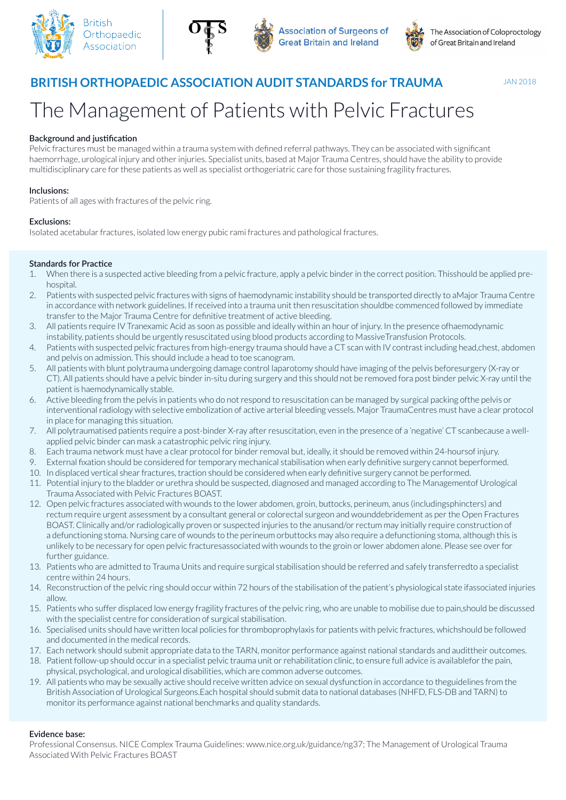







**BRITISH ORTHOPAEDIC ASSOCIATION AUDIT STANDARDS for TRAUMA**

The Management of Patients with Pelvic Fractures

# **Background and justification**

Pelvic fractures must be managed within a trauma system with defined referral pathways. They can be associated with significant haemorrhage, urological injury and other injuries. Specialist units, based at Major Trauma Centres, should have the ability to provide multidisciplinary care for these patients as well as specialist orthogeriatric care for those sustaining fragility fractures.

## **Inclusions:**

Patients of all ages with fractures of the pelvic ring.

### **Exclusions:**

Isolated acetabular fractures, isolated low energy pubic rami fractures and pathological fractures.

# **Standards for Practice**

- 1. When there is a suspected active bleeding from a pelvic fracture, apply a pelvic binder in the correct position. Thisshould be applied prehospital.
- 2. Patients with suspected pelvic fractures with signs of haemodynamic instability should be transported directly to aMajor Trauma Centre in accordance with network guidelines. If received into a trauma unit then resuscitation shouldbe commenced followed by immediate transfer to the Major Trauma Centre for definitive treatment of active bleeding.
- 3. All patients require IV Tranexamic Acid as soon as possible and ideally within an hour of injury. In the presence ofhaemodynamic instability, patients should be urgently resuscitated using blood products according to MassiveTransfusion Protocols.
- 4. Patients with suspected pelvic fractures from high-energy trauma should have a CT scan with IV contrast including head,chest, abdomen and pelvis on admission. This should include a head to toe scanogram.
- 5. All patients with blunt polytrauma undergoing damage control laparotomy should have imaging of the pelvis beforesurgery (X-ray or CT). All patients should have a pelvic binder in-situ during surgery and this should not be removed fora post binder pelvic X-ray until the patient is haemodynamically stable.
- 6. Active bleeding from the pelvis in patients who do not respond to resuscitation can be managed by surgical packing ofthe pelvis or interventional radiology with selective embolization of active arterial bleeding vessels. Major TraumaCentres must have a clear protocol in place for managing this situation.
- 7. All polytraumatised patients require a post-binder X-ray after resuscitation, even in the presence of a 'negative' CT scanbecause a wellapplied pelvic binder can mask a catastrophic pelvic ring injury.
- 8. Each trauma network must have a clear protocol for binder removal but, ideally, it should be removed within 24-hoursof injury.
- 9. External fixation should be considered for temporary mechanical stabilisation when early definitive surgery cannot beperformed.
- 10. In displaced vertical shear fractures, traction should be considered when early definitive surgery cannot be performed.
- 11. Potential injury to the bladder or urethra should be suspected, diagnosed and managed according to The Managementof Urological Trauma Associated with Pelvic Fractures BOAST.
- 12. Open pelvic fractures associated with wounds to the lower abdomen, groin, buttocks, perineum, anus (includingsphincters) and rectum require urgent assessment by a consultant general or colorectal surgeon and wounddebridement as per the Open Fractures BOAST. Clinically and/or radiologically proven or suspected injuries to the anusand/or rectum may initially require construction of a defunctioning stoma. Nursing care of wounds to the perineum orbuttocks may also require a defunctioning stoma, although this is unlikely to be necessary for open pelvic fracturesassociated with wounds to the groin or lower abdomen alone. Please see over for further guidance.
- 13. Patients who are admitted to Trauma Units and require surgical stabilisation should be referred and safely transferredto a specialist centre within 24 hours.
- 14. Reconstruction of the pelvic ring should occur within 72 hours of the stabilisation of the patient's physiological state ifassociated injuries allow.
- 15. Patients who suffer displaced low energy fragility fractures of the pelvic ring, who are unable to mobilise due to pain,should be discussed with the specialist centre for consideration of surgical stabilisation.
- 16. Specialised units should have written local policies for thromboprophylaxis for patients with pelvic fractures, whichshould be followed and documented in the medical records.
- 17. Each network should submit appropriate data to the TARN, monitor performance against national standards and audittheir outcomes.
- 18. Patient follow-up should occur in a specialist pelvic trauma unit or rehabilitation clinic, to ensure full advice is availablefor the pain, physical, psychological, and urological disabilities, which are common adverse outcomes.
- 19. All patients who may be sexually active should receive written advice on sexual dysfunction in accordance to theguidelines from the British Association of Urological Surgeons.Each hospital should submit data to national databases (NHFD, FLS-DB and TARN) to monitor its performance against national benchmarks and quality standards.

### **Evidence base:**

Professional Consensus. NICE Complex Trauma Guidelines: www.nice.org.uk/guidance/ng37; The Management of Urological Trauma Associated With Pelvic Fractures BOAST

JAN 2018